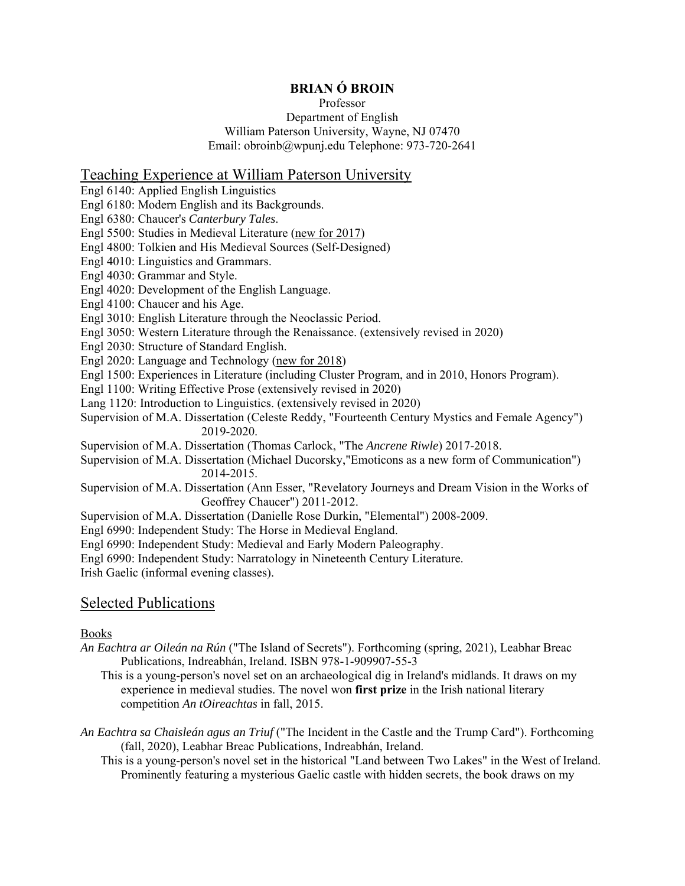# **BRIAN Ó BROIN**

### Professor Department of English William Paterson University, Wayne, NJ 07470 Email: obroinb@wpunj.edu Telephone: 973-720-2641

# Teaching Experience at William Paterson University

Engl 6140: Applied English Linguistics Engl 6180: Modern English and its Backgrounds. Engl 6380: Chaucer's *Canterbury Tales*. Engl 5500: Studies in Medieval Literature (new for 2017) Engl 4800: Tolkien and His Medieval Sources (Self-Designed) Engl 4010: Linguistics and Grammars. Engl 4030: Grammar and Style. Engl 4020: Development of the English Language. Engl 4100: Chaucer and his Age. Engl 3010: English Literature through the Neoclassic Period. Engl 3050: Western Literature through the Renaissance. (extensively revised in 2020) Engl 2030: Structure of Standard English. Engl 2020: Language and Technology (new for 2018) Engl 1500: Experiences in Literature (including Cluster Program, and in 2010, Honors Program). Engl 1100: Writing Effective Prose (extensively revised in 2020) Lang 1120: Introduction to Linguistics. (extensively revised in 2020) Supervision of M.A. Dissertation (Celeste Reddy, "Fourteenth Century Mystics and Female Agency") 2019-2020. Supervision of M.A. Dissertation (Thomas Carlock, "The *Ancrene Riwle*) 2017-2018. Supervision of M.A. Dissertation (Michael Ducorsky,"Emoticons as a new form of Communication") 2014-2015. Supervision of M.A. Dissertation (Ann Esser, "Revelatory Journeys and Dream Vision in the Works of Geoffrey Chaucer") 2011-2012. Supervision of M.A. Dissertation (Danielle Rose Durkin, "Elemental") 2008-2009.

Engl 6990: Independent Study: The Horse in Medieval England.

Engl 6990: Independent Study: Medieval and Early Modern Paleography.

Engl 6990: Independent Study: Narratology in Nineteenth Century Literature.

Irish Gaelic (informal evening classes).

# Selected Publications

### Books

*An Eachtra ar Oileán na Rún* ("The Island of Secrets"). Forthcoming (spring, 2021), Leabhar Breac Publications, Indreabhán, Ireland. ISBN 978-1-909907-55-3

This is a young-person's novel set on an archaeological dig in Ireland's midlands. It draws on my experience in medieval studies. The novel won **first prize** in the Irish national literary competition *An tOireachtas* in fall, 2015.

*An Eachtra sa Chaisleán agus an Triuf* ("The Incident in the Castle and the Trump Card"). Forthcoming (fall, 2020), Leabhar Breac Publications, Indreabhán, Ireland.

This is a young-person's novel set in the historical "Land between Two Lakes" in the West of Ireland. Prominently featuring a mysterious Gaelic castle with hidden secrets, the book draws on my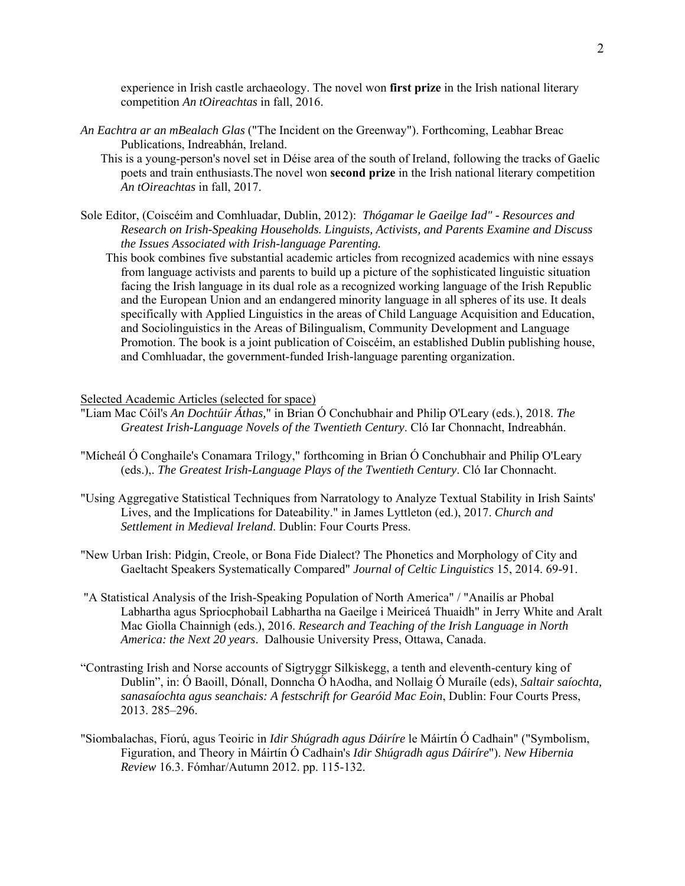experience in Irish castle archaeology. The novel won **first prize** in the Irish national literary competition *An tOireachtas* in fall, 2016.

- *An Eachtra ar an mBealach Glas* ("The Incident on the Greenway"). Forthcoming, Leabhar Breac Publications, Indreabhán, Ireland.
	- This is a young-person's novel set in Déise area of the south of Ireland, following the tracks of Gaelic poets and train enthusiasts.The novel won **second prize** in the Irish national literary competition *An tOireachtas* in fall, 2017.
- Sole Editor, (Coiscéim and Comhluadar, Dublin, 2012): *Thógamar le Gaeilge Iad" Resources and Research on Irish-Speaking Households. Linguists, Activists, and Parents Examine and Discuss the Issues Associated with Irish-language Parenting.*
	- This book combines five substantial academic articles from recognized academics with nine essays from language activists and parents to build up a picture of the sophisticated linguistic situation facing the Irish language in its dual role as a recognized working language of the Irish Republic and the European Union and an endangered minority language in all spheres of its use. It deals specifically with Applied Linguistics in the areas of Child Language Acquisition and Education, and Sociolinguistics in the Areas of Bilingualism, Community Development and Language Promotion. The book is a joint publication of Coiscéim, an established Dublin publishing house, and Comhluadar, the government-funded Irish-language parenting organization.

#### Selected Academic Articles (selected for space)

- "Liam Mac Cóil's *An Dochtúir Áthas,*" in Brian Ó Conchubhair and Philip O'Leary (eds.), 2018. *The Greatest Irish-Language Novels of the Twentieth Century*. Cló Iar Chonnacht, Indreabhán.
- "Mícheál Ó Conghaile's Conamara Trilogy," forthcoming in Brian Ó Conchubhair and Philip O'Leary (eds.),. *The Greatest Irish-Language Plays of the Twentieth Century*. Cló Iar Chonnacht.
- "Using Aggregative Statistical Techniques from Narratology to Analyze Textual Stability in Irish Saints' Lives, and the Implications for Dateability." in James Lyttleton (ed.), 2017. *Church and Settlement in Medieval Ireland*. Dublin: Four Courts Press.
- "New Urban Irish: Pidgin, Creole, or Bona Fide Dialect? The Phonetics and Morphology of City and Gaeltacht Speakers Systematically Compared" *Journal of Celtic Linguistics* 15, 2014. 69-91.
- "A Statistical Analysis of the Irish-Speaking Population of North America" / "Anailís ar Phobal Labhartha agus Spriocphobail Labhartha na Gaeilge i Meiriceá Thuaidh" in Jerry White and Aralt Mac Giolla Chainnigh (eds.), 2016. *Research and Teaching of the Irish Language in North America: the Next 20 years*. Dalhousie University Press, Ottawa, Canada.
- "Contrasting Irish and Norse accounts of Sigtryggr Silkiskegg, a tenth and eleventh-century king of Dublin", in: Ó Baoill, Dónall, Donncha Ó hAodha, and Nollaig Ó Muraíle (eds), *Saltair saíochta, sanasaíochta agus seanchais: A festschrift for Gearóid Mac Eoin*, Dublin: Four Courts Press, 2013. 285–296.
- "Siombalachas, Fíorú, agus Teoiric in *Idir Shúgradh agus Dáiríre* le Máirtín Ó Cadhain" ("Symbolism, Figuration, and Theory in Máirtín Ó Cadhain's *Idir Shúgradh agus Dáiríre*"). *New Hibernia Review* 16.3. Fómhar/Autumn 2012. pp. 115-132.